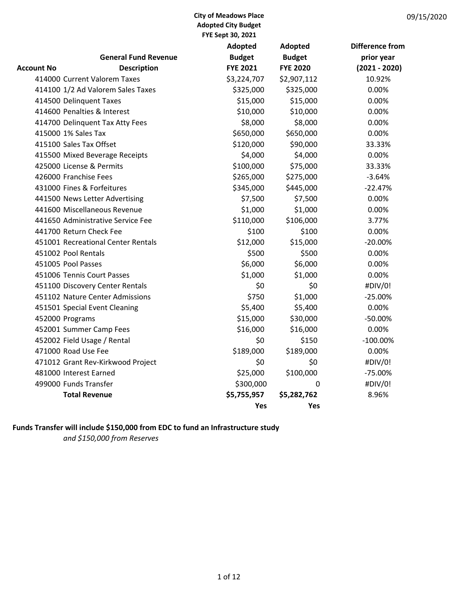|                          |                                    | <b>Adopted</b>  | <b>Adopted</b>  | <b>Difference from</b> |
|--------------------------|------------------------------------|-----------------|-----------------|------------------------|
|                          | <b>General Fund Revenue</b>        | <b>Budget</b>   | <b>Budget</b>   | prior year             |
| Account No               | <b>Description</b>                 | <b>FYE 2021</b> | <b>FYE 2020</b> | $(2021 - 2020)$        |
|                          | 414000 Current Valorem Taxes       | \$3,224,707     | \$2,907,112     | 10.92%                 |
|                          | 414100 1/2 Ad Valorem Sales Taxes  | \$325,000       | \$325,000       | 0.00%                  |
| 414500 Delinquent Taxes  |                                    | \$15,000        | \$15,000        | 0.00%                  |
|                          | 414600 Penalties & Interest        | \$10,000        | \$10,000        | 0.00%                  |
|                          | 414700 Delinquent Tax Atty Fees    | \$8,000         | \$8,000         | 0.00%                  |
| 415000 1% Sales Tax      |                                    | \$650,000       | \$650,000       | 0.00%                  |
| 415100 Sales Tax Offset  |                                    | \$120,000       | \$90,000        | 33.33%                 |
|                          | 415500 Mixed Beverage Receipts     | \$4,000         | \$4,000         | 0.00%                  |
| 425000 License & Permits |                                    | \$100,000       | \$75,000        | 33.33%                 |
| 426000 Franchise Fees    |                                    | \$265,000       | \$275,000       | $-3.64%$               |
|                          | 431000 Fines & Forfeitures         | \$345,000       | \$445,000       | $-22.47%$              |
|                          | 441500 News Letter Advertising     | \$7,500         | \$7,500         | 0.00%                  |
|                          | 441600 Miscellaneous Revenue       | \$1,000         | \$1,000         | 0.00%                  |
|                          | 441650 Administrative Service Fee  | \$110,000       | \$106,000       | 3.77%                  |
| 441700 Return Check Fee  |                                    | \$100           | \$100           | 0.00%                  |
|                          | 451001 Recreational Center Rentals | \$12,000        | \$15,000        | $-20.00%$              |
| 451002 Pool Rentals      |                                    | \$500           | \$500           | 0.00%                  |
| 451005 Pool Passes       |                                    | \$6,000         | \$6,000         | 0.00%                  |
|                          | 451006 Tennis Court Passes         | \$1,000         | \$1,000         | 0.00%                  |
|                          | 451100 Discovery Center Rentals    | \$0             | \$0             | #DIV/0!                |
|                          | 451102 Nature Center Admissions    | \$750           | \$1,000         | $-25.00%$              |
|                          | 451501 Special Event Cleaning      | \$5,400         | \$5,400         | 0.00%                  |
| 452000 Programs          |                                    | \$15,000        | \$30,000        | $-50.00%$              |
|                          | 452001 Summer Camp Fees            | \$16,000        | \$16,000        | 0.00%                  |
|                          | 452002 Field Usage / Rental        | \$0             | \$150           | $-100.00\%$            |
| 471000 Road Use Fee      |                                    | \$189,000       | \$189,000       | 0.00%                  |
|                          | 471012 Grant Rev-Kirkwood Project  | \$0             | \$0             | #DIV/0!                |
| 481000 Interest Earned   |                                    | \$25,000        | \$100,000       | $-75.00%$              |
| 499000 Funds Transfer    |                                    | \$300,000       | 0               | #DIV/0!                |
|                          | <b>Total Revenue</b>               | \$5,755,957     | \$5,282,762     | 8.96%                  |
|                          |                                    | <b>Yes</b>      | Yes             |                        |

# Funds Transfer will include \$150,000 from EDC to fund an Infrastructure study

and \$150,000 from Reserves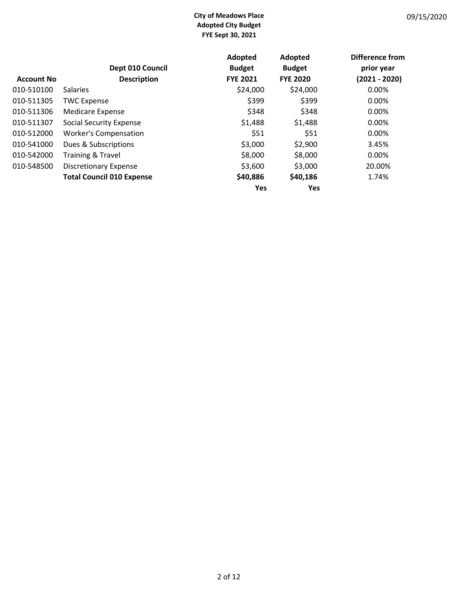|                   |                                  | Adopted         | Adopted         | Difference from |
|-------------------|----------------------------------|-----------------|-----------------|-----------------|
|                   | Dept 010 Council                 | <b>Budget</b>   | <b>Budget</b>   | prior year      |
| <b>Account No</b> | <b>Description</b>               | <b>FYE 2021</b> | <b>FYE 2020</b> | $(2021 - 2020)$ |
| 010-510100        | <b>Salaries</b>                  | \$24,000        | \$24,000        | $0.00\%$        |
| 010-511305        | <b>TWC Expense</b>               | \$399           | \$399           | $0.00\%$        |
| 010-511306        | <b>Medicare Expense</b>          | \$348           | \$348           | 0.00%           |
| 010-511307        | Social Security Expense          | \$1,488         | \$1,488         | 0.00%           |
| 010-512000        | <b>Worker's Compensation</b>     | \$51            | \$51            | 0.00%           |
| 010-541000        | Dues & Subscriptions             | \$3,000         | \$2,900         | 3.45%           |
| 010-542000        | Training & Travel                | \$8,000         | \$8,000         | 0.00%           |
| 010-548500        | <b>Discretionary Expense</b>     | \$3,600         | \$3,000         | 20.00%          |
|                   | <b>Total Council 010 Expense</b> | \$40,886        | \$40,186        | 1.74%           |
|                   |                                  | <b>Yes</b>      | Yes             |                 |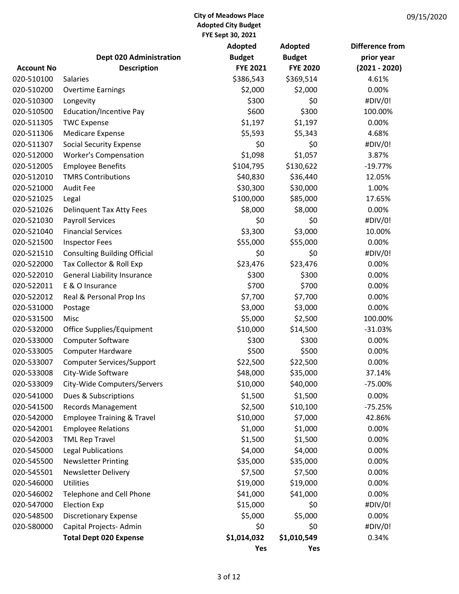|                   |                                       | <b>Adopted</b>  | <b>Adopted</b>  | Difference from |
|-------------------|---------------------------------------|-----------------|-----------------|-----------------|
|                   | <b>Dept 020 Administration</b>        | <b>Budget</b>   | <b>Budget</b>   | prior year      |
| <b>Account No</b> | <b>Description</b>                    | <b>FYE 2021</b> | <b>FYE 2020</b> | $(2021 - 2020)$ |
| 020-510100        | <b>Salaries</b>                       | \$386,543       | \$369,514       | 4.61%           |
| 020-510200        | <b>Overtime Earnings</b>              | \$2,000         | \$2,000         | 0.00%           |
| 020-510300        | Longevity                             | \$300           | \$0             | #DIV/0!         |
| 020-510500        | <b>Education/Incentive Pay</b>        | \$600           | \$300           | 100.00%         |
| 020-511305        | <b>TWC Expense</b>                    | \$1,197         | \$1,197         | 0.00%           |
| 020-511306        | <b>Medicare Expense</b>               | \$5,593         | \$5,343         | 4.68%           |
| 020-511307        | <b>Social Security Expense</b>        | \$0             | \$0             | #DIV/0!         |
| 020-512000        | <b>Worker's Compensation</b>          | \$1,098         | \$1,057         | 3.87%           |
| 020-512005        | <b>Employee Benefits</b>              | \$104,795       | \$130,622       | $-19.77%$       |
| 020-512010        | <b>TMRS Contributions</b>             | \$40,830        | \$36,440        | 12.05%          |
| 020-521000        | <b>Audit Fee</b>                      | \$30,300        | \$30,000        | 1.00%           |
| 020-521025        | Legal                                 | \$100,000       | \$85,000        | 17.65%          |
| 020-521026        | <b>Delinquent Tax Atty Fees</b>       | \$8,000         | \$8,000         | 0.00%           |
| 020-521030        | <b>Payroll Services</b>               | \$0             | \$0             | #DIV/0!         |
| 020-521040        | <b>Financial Services</b>             | \$3,300         | \$3,000         | 10.00%          |
| 020-521500        | <b>Inspector Fees</b>                 | \$55,000        | \$55,000        | 0.00%           |
| 020-521510        | <b>Consulting Building Official</b>   | \$0             | \$0             | #DIV/0!         |
| 020-522000        | Tax Collector & Roll Exp              | \$23,476        | \$23,476        | 0.00%           |
| 020-522010        | <b>General Liability Insurance</b>    | \$300           | \$300           | 0.00%           |
| 020-522011        | E & O Insurance                       | \$700           | \$700           | 0.00%           |
| 020-522012        | Real & Personal Prop Ins              | \$7,700         | \$7,700         | 0.00%           |
| 020-531000        | Postage                               | \$3,000         | \$3,000         | 0.00%           |
| 020-531500        | Misc                                  | \$5,000         | \$2,500         | 100.00%         |
| 020-532000        | Office Supplies/Equipment             | \$10,000        | \$14,500        | $-31.03%$       |
| 020-533000        | <b>Computer Software</b>              | \$300           | \$300           | 0.00%           |
| 020-533005        | <b>Computer Hardware</b>              | \$500           | \$500           | 0.00%           |
| 020-533007        | <b>Computer Services/Support</b>      | \$22,500        | \$22,500        | 0.00%           |
| 020-533008        | City-Wide Software                    | \$48,000        | \$35,000        | 37.14%          |
| 020-533009        | City-Wide Computers/Servers           | \$10,000        | \$40,000        | -75.00%         |
| 020-541000        | Dues & Subscriptions                  | \$1,500         | \$1,500         | 0.00%           |
| 020-541500        | <b>Records Management</b>             | \$2,500         | \$10,100        | $-75.25%$       |
| 020-542000        | <b>Employee Training &amp; Travel</b> | \$10,000        | \$7,000         | 42.86%          |
| 020-542001        | <b>Employee Relations</b>             | \$1,000         | \$1,000         | 0.00%           |
| 020-542003        | <b>TML Rep Travel</b>                 | \$1,500         | \$1,500         | 0.00%           |
| 020-545000        | <b>Legal Publications</b>             | \$4,000         | \$4,000         | 0.00%           |
| 020-545500        | <b>Newsletter Printing</b>            | \$35,000        | \$35,000        | 0.00%           |
| 020-545501        | Newsletter Delivery                   | \$7,500         | \$7,500         | 0.00%           |
| 020-546000        | <b>Utilities</b>                      | \$19,000        | \$19,000        | 0.00%           |
| 020-546002        | Telephone and Cell Phone              | \$41,000        | \$41,000        | 0.00%           |
| 020-547000        | <b>Election Exp</b>                   | \$15,000        | \$0             | #DIV/0!         |
| 020-548500        | <b>Discretionary Expense</b>          | \$5,000         | \$5,000         | 0.00%           |
| 020-580000        | Capital Projects-Admin                | \$0             | \$0             | #DIV/0!         |
|                   | <b>Total Dept 020 Expense</b>         | \$1,014,032     | \$1,010,549     | 0.34%           |
|                   |                                       | Yes             | Yes             |                 |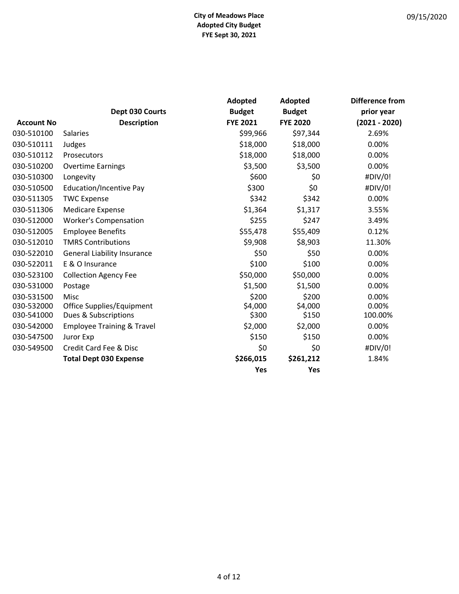| 09/15/2020 |  |
|------------|--|
|------------|--|

|                   |                                       | Adopted         | Adopted         | Difference from |
|-------------------|---------------------------------------|-----------------|-----------------|-----------------|
|                   | Dept 030 Courts                       | <b>Budget</b>   | <b>Budget</b>   | prior year      |
| <b>Account No</b> | <b>Description</b>                    | <b>FYE 2021</b> | <b>FYE 2020</b> | $(2021 - 2020)$ |
| 030-510100        | <b>Salaries</b>                       | \$99,966        | \$97,344        | 2.69%           |
| 030-510111        | Judges                                | \$18,000        | \$18,000        | 0.00%           |
| 030-510112        | Prosecutors                           | \$18,000        | \$18,000        | 0.00%           |
| 030-510200        | <b>Overtime Earnings</b>              | \$3,500         | \$3,500         | 0.00%           |
| 030-510300        | Longevity                             | \$600           | \$0             | #DIV/0!         |
| 030-510500        | <b>Education/Incentive Pay</b>        | \$300           | \$0             | #DIV/0!         |
| 030-511305        | <b>TWC Expense</b>                    | \$342           | \$342           | 0.00%           |
| 030-511306        | <b>Medicare Expense</b>               | \$1,364         | \$1,317         | 3.55%           |
| 030-512000        | <b>Worker's Compensation</b>          | \$255           | \$247           | 3.49%           |
| 030-512005        | <b>Employee Benefits</b>              | \$55,478        | \$55,409        | 0.12%           |
| 030-512010        | <b>TMRS Contributions</b>             | \$9,908         | \$8,903         | 11.30%          |
| 030-522010        | <b>General Liability Insurance</b>    | \$50            | \$50            | 0.00%           |
| 030-522011        | E & O Insurance                       | \$100           | \$100           | 0.00%           |
| 030-523100        | <b>Collection Agency Fee</b>          | \$50,000        | \$50,000        | 0.00%           |
| 030-531000        | Postage                               | \$1,500         | \$1,500         | 0.00%           |
| 030-531500        | Misc                                  | \$200           | \$200           | 0.00%           |
| 030-532000        | Office Supplies/Equipment             | \$4,000         | \$4,000         | 0.00%           |
| 030-541000        | Dues & Subscriptions                  | \$300           | \$150           | 100.00%         |
| 030-542000        | <b>Employee Training &amp; Travel</b> | \$2,000         | \$2,000         | 0.00%           |
| 030-547500        | Juror Exp                             | \$150           | \$150           | 0.00%           |
| 030-549500        | Credit Card Fee & Disc                | \$0             | \$0             | #DIV/0!         |
|                   | <b>Total Dept 030 Expense</b>         | \$266,015       | \$261,212       | 1.84%           |
|                   |                                       | Yes             | Yes             |                 |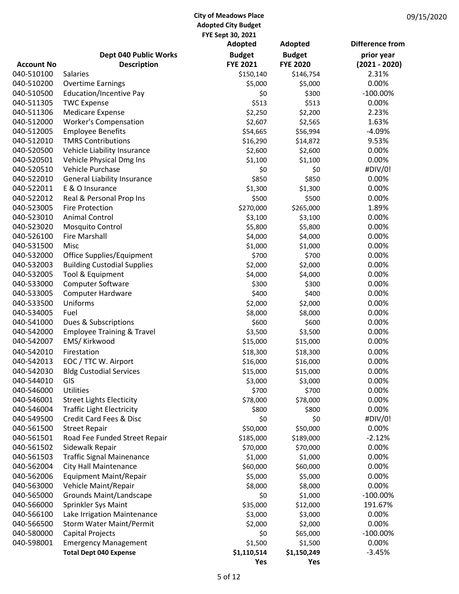|                   |                                       | ΓΙ L JEUL JU, ΔUΔΙ<br>Adopted | Adopted         | Difference from |
|-------------------|---------------------------------------|-------------------------------|-----------------|-----------------|
|                   | <b>Dept 040 Public Works</b>          | <b>Budget</b>                 | <b>Budget</b>   | prior year      |
| <b>Account No</b> | <b>Description</b>                    | <b>FYE 2021</b>               | <b>FYE 2020</b> | $(2021 - 2020)$ |
| 040-510100        | <b>Salaries</b>                       | \$150,140                     | \$146,754       | 2.31%           |
| 040-510200        | <b>Overtime Earnings</b>              | \$5,000                       | \$5,000         | 0.00%           |
| 040-510500        | Education/Incentive Pay               | \$0                           | \$300           | $-100.00\%$     |
| 040-511305        | <b>TWC Expense</b>                    | \$513                         | \$513           | 0.00%           |
| 040-511306        | <b>Medicare Expense</b>               | \$2,250                       | \$2,200         | 2.23%           |
| 040-512000        | <b>Worker's Compensation</b>          | \$2,607                       | \$2,565         | 1.63%           |
| 040-512005        | <b>Employee Benefits</b>              | \$54,665                      | \$56,994        | $-4.09%$        |
| 040-512010        | <b>TMRS Contributions</b>             | \$16,290                      | \$14,872        | 9.53%           |
| 040-520500        | Vehicle Liability Insurance           | \$2,600                       | \$2,600         | 0.00%           |
| 040-520501        | Vehicle Physical Dmg Ins              | \$1,100                       | \$1,100         | 0.00%           |
| 040-520510        | Vehicle Purchase                      | \$0                           | \$0             | #DIV/0!         |
| 040-522010        | <b>General Liability Insurance</b>    | \$850                         | \$850           | 0.00%           |
| 040-522011        | E & O Insurance                       | \$1,300                       | \$1,300         | 0.00%           |
| 040-522012        | Real & Personal Prop Ins              | \$500                         | \$500           | 0.00%           |
| 040-523005        | <b>Fire Protection</b>                | \$270,000                     | \$265,000       | 1.89%           |
| 040-523010        | <b>Animal Control</b>                 | \$3,100                       | \$3,100         | 0.00%           |
| 040-523020        | <b>Mosquito Control</b>               | \$5,800                       | \$5,800         | 0.00%           |
| 040-526100        | <b>Fire Marshall</b>                  | \$4,000                       | \$4,000         | 0.00%           |
| 040-531500        | Misc                                  | \$1,000                       | \$1,000         | 0.00%           |
| 040-532000        | Office Supplies/Equipment             | \$700                         | \$700           | 0.00%           |
| 040-532003        | <b>Building Custodial Supplies</b>    | \$2,000                       | \$2,000         | 0.00%           |
| 040-532005        | Tool & Equipment                      | \$4,000                       | \$4,000         | 0.00%           |
| 040-533000        | Computer Software                     | \$300                         | \$300           | 0.00%           |
| 040-533005        | <b>Computer Hardware</b>              | \$400                         | \$400           | 0.00%           |
| 040-533500        | Uniforms                              | \$2,000                       | \$2,000         | 0.00%           |
| 040-534005        | Fuel                                  | \$8,000                       | \$8,000         | 0.00%           |
| 040-541000        | Dues & Subscriptions                  | \$600                         | \$600           | 0.00%           |
| 040-542000        | <b>Employee Training &amp; Travel</b> | \$3,500                       | \$3,500         | 0.00%           |
| 040-542007        | EMS/ Kirkwood                         | \$15,000                      | \$15,000        | 0.00%           |
| 040-542010        | Firestation                           | \$18,300                      | \$18,300        | 0.00%           |
| 040-542013        | EOC / TTC W. Airport                  | \$16,000                      | \$16,000        | 0.00%           |
| 040-542030        | <b>Bldg Custodial Services</b>        | \$15,000                      | \$15,000        | 0.00%           |
| 040-544010        | GIS                                   | \$3,000                       | \$3,000         | 0.00%           |
| 040-546000        | Utilities                             | \$700                         | \$700           | 0.00%           |
| 040-546001        | <b>Street Lights Electicity</b>       | \$78,000                      | \$78,000        | 0.00%           |
| 040-546004        | <b>Traffic Light Electricity</b>      | \$800                         | \$800           | 0.00%           |
| 040-549500        | Credit Card Fees & Disc               | \$0                           | \$0             | #DIV/0!         |
| 040-561500        | <b>Street Repair</b>                  | \$50,000                      | \$50,000        | 0.00%           |
| 040-561501        | Road Fee Funded Street Repair         | \$185,000                     | \$189,000       | $-2.12%$        |
| 040-561502        | Sidewalk Repair                       | \$70,000                      | \$70,000        | 0.00%           |
| 040-561503        | <b>Traffic Signal Mainenance</b>      | \$1,000                       | \$1,000         | 0.00%           |
| 040-562004        | City Hall Maintenance                 | \$60,000                      | \$60,000        | 0.00%           |
| 040-562006        | Equipment Maint/Repair                | \$5,000                       | \$5,000         | 0.00%           |
| 040-563000        | Vehicle Maint/Repair                  | \$8,000                       | \$8,000         | 0.00%           |
| 040-565000        | Grounds Maint/Landscape               | \$0                           | \$1,000         | $-100.00\%$     |
| 040-566000        | Sprinkler Sys Maint                   | \$35,000                      | \$12,000        | 191.67%         |
| 040-566100        | Lake Irrigation Maintenance           | \$3,000                       | \$3,000         | 0.00%           |
| 040-566500        | <b>Storm Water Maint/Permit</b>       | \$2,000                       | \$2,000         | 0.00%           |
| 040-580000        | Capital Projects                      | \$0                           | \$65,000        | $-100.00\%$     |
| 040-598001        | <b>Emergency Management</b>           | \$1,500                       | \$1,500         | 0.00%           |
|                   | <b>Total Dept 040 Expense</b>         | \$1,110,514                   | \$1,150,249     | $-3.45%$        |
|                   |                                       | Yes                           | Yes             |                 |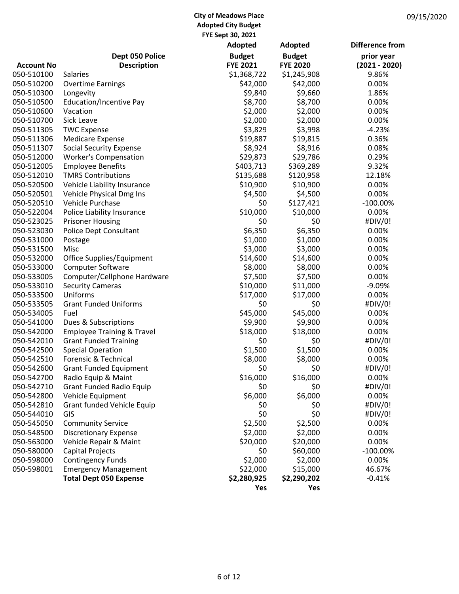|                   |                                       | Adopted         | Adopted         | <b>Difference from</b> |
|-------------------|---------------------------------------|-----------------|-----------------|------------------------|
|                   | Dept 050 Police                       | <b>Budget</b>   | <b>Budget</b>   | prior year             |
| <b>Account No</b> | <b>Description</b>                    | <b>FYE 2021</b> | <b>FYE 2020</b> | $(2021 - 2020)$        |
| 050-510100        | <b>Salaries</b>                       | \$1,368,722     | \$1,245,908     | 9.86%                  |
| 050-510200        | <b>Overtime Earnings</b>              | \$42,000        | \$42,000        | 0.00%                  |
| 050-510300        | Longevity                             | \$9,840         | \$9,660         | 1.86%                  |
| 050-510500        | <b>Education/Incentive Pay</b>        | \$8,700         | \$8,700         | 0.00%                  |
| 050-510600        | Vacation                              | \$2,000         | \$2,000         | 0.00%                  |
| 050-510700        | Sick Leave                            | \$2,000         | \$2,000         | 0.00%                  |
| 050-511305        | <b>TWC Expense</b>                    | \$3,829         | \$3,998         | $-4.23%$               |
| 050-511306        | <b>Medicare Expense</b>               | \$19,887        | \$19,815        | 0.36%                  |
| 050-511307        | <b>Social Security Expense</b>        | \$8,924         | \$8,916         | 0.08%                  |
| 050-512000        | <b>Worker's Compensation</b>          | \$29,873        | \$29,786        | 0.29%                  |
| 050-512005        | <b>Employee Benefits</b>              | \$403,713       | \$369,289       | 9.32%                  |
| 050-512010        | <b>TMRS Contributions</b>             | \$135,688       | \$120,958       | 12.18%                 |
| 050-520500        | Vehicle Liability Insurance           | \$10,900        | \$10,900        | 0.00%                  |
| 050-520501        | Vehicle Physical Dmg Ins              | \$4,500         | \$4,500         | 0.00%                  |
| 050-520510        | Vehicle Purchase                      | \$0             | \$127,421       | $-100.00\%$            |
| 050-522004        | Police Liability Insurance            | \$10,000        | \$10,000        | 0.00%                  |
| 050-523025        | <b>Prisoner Housing</b>               | \$0             | \$0             | #DIV/0!                |
| 050-523030        | Police Dept Consultant                | \$6,350         | \$6,350         | 0.00%                  |
| 050-531000        | Postage                               | \$1,000         | \$1,000         | 0.00%                  |
| 050-531500        | Misc                                  | \$3,000         | \$3,000         | 0.00%                  |
| 050-532000        | Office Supplies/Equipment             | \$14,600        | \$14,600        | 0.00%                  |
| 050-533000        | <b>Computer Software</b>              | \$8,000         | \$8,000         | 0.00%                  |
| 050-533005        | Computer/Cellphone Hardware           | \$7,500         | \$7,500         | 0.00%                  |
| 050-533010        | <b>Security Cameras</b>               | \$10,000        | \$11,000        | $-9.09%$               |
| 050-533500        | Uniforms                              | \$17,000        | \$17,000        | 0.00%                  |
| 050-533505        | <b>Grant Funded Uniforms</b>          | \$0             | \$0             | #DIV/0!                |
| 050-534005        | Fuel                                  | \$45,000        | \$45,000        | 0.00%                  |
| 050-541000        | Dues & Subscriptions                  | \$9,900         | \$9,900         | 0.00%                  |
| 050-542000        | <b>Employee Training &amp; Travel</b> | \$18,000        | \$18,000        | 0.00%                  |
| 050-542010        | <b>Grant Funded Training</b>          | \$0             | \$0             | #DIV/0!                |
| 050-542500        | <b>Special Operation</b>              | \$1,500         | \$1,500         | 0.00%                  |
| 050-542510        | Forensic & Technical                  | \$8,000         | \$8,000         | 0.00%                  |
| 050-542600        | <b>Grant Funded Equipment</b>         | \$0             | \$0             | #DIV/0!                |
| 050-542700        | Radio Equip & Maint                   | \$16,000        | \$16,000        | 0.00%                  |
| 050-542710        | <b>Grant Funded Radio Equip</b>       | \$0             | \$0             | #DIV/0!                |
| 050-542800        | Vehicle Equipment                     | \$6,000         | \$6,000         | 0.00%                  |
| 050-542810        | Grant funded Vehicle Equip            | \$0             | \$0             | #DIV/0!                |
| 050-544010        | GIS                                   | \$0             | \$0             | #DIV/0!                |
| 050-545050        | <b>Community Service</b>              | \$2,500         | \$2,500         | 0.00%                  |
| 050-548500        | <b>Discretionary Expense</b>          | \$2,000         | \$2,000         | 0.00%                  |
| 050-563000        | Vehicle Repair & Maint                | \$20,000        | \$20,000        | 0.00%                  |
| 050-580000        | Capital Projects                      | \$0             | \$60,000        | $-100.00\%$            |
| 050-598000        | <b>Contingency Funds</b>              | \$2,000         | \$2,000         | 0.00%                  |
| 050-598001        | <b>Emergency Management</b>           | \$22,000        | \$15,000        | 46.67%                 |
|                   | <b>Total Dept 050 Expense</b>         | \$2,280,925     | \$2,290,202     | $-0.41%$               |
|                   |                                       | Yes             | Yes             |                        |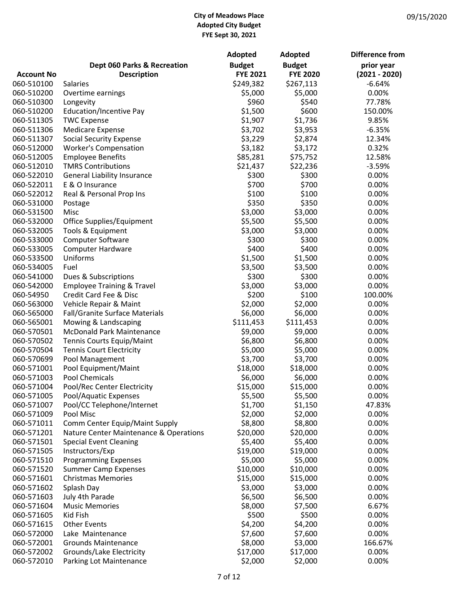|                   |                                        | Adopted         | Adopted         | <b>Difference from</b> |
|-------------------|----------------------------------------|-----------------|-----------------|------------------------|
|                   | Dept 060 Parks & Recreation            | <b>Budget</b>   | <b>Budget</b>   | prior year             |
| <b>Account No</b> | <b>Description</b>                     | <b>FYE 2021</b> | <b>FYE 2020</b> | $(2021 - 2020)$        |
| 060-510100        | Salaries                               | \$249,382       | \$267,113       | $-6.64%$               |
| 060-510200        | Overtime earnings                      | \$5,000         | \$5,000         | 0.00%                  |
| 060-510300        | Longevity                              | \$960           | \$540           | 77.78%                 |
| 060-510200        | <b>Education/Incentive Pay</b>         | \$1,500         | \$600           | 150.00%                |
| 060-511305        | <b>TWC Expense</b>                     | \$1,907         | \$1,736         | 9.85%                  |
| 060-511306        | <b>Medicare Expense</b>                | \$3,702         | \$3,953         | $-6.35%$               |
| 060-511307        | <b>Social Security Expense</b>         | \$3,229         | \$2,874         | 12.34%                 |
| 060-512000        | <b>Worker's Compensation</b>           | \$3,182         | \$3,172         | 0.32%                  |
| 060-512005        | <b>Employee Benefits</b>               | \$85,281        | \$75,752        | 12.58%                 |
| 060-512010        | <b>TMRS Contributions</b>              | \$21,437        | \$22,236        | $-3.59%$               |
| 060-522010        | <b>General Liability Insurance</b>     | \$300           | \$300           | 0.00%                  |
| 060-522011        | E & O Insurance                        | \$700           | \$700           | 0.00%                  |
| 060-522012        | Real & Personal Prop Ins               | \$100           | \$100           | 0.00%                  |
| 060-531000        | Postage                                | \$350           | \$350           | 0.00%                  |
| 060-531500        | Misc                                   | \$3,000         | \$3,000         | 0.00%                  |
| 060-532000        | Office Supplies/Equipment              | \$5,500         | \$5,500         | 0.00%                  |
| 060-532005        | Tools & Equipment                      | \$3,000         | \$3,000         | 0.00%                  |
| 060-533000        | <b>Computer Software</b>               | \$300           | \$300           | 0.00%                  |
| 060-533005        | <b>Computer Hardware</b>               | \$400           | \$400           | 0.00%                  |
| 060-533500        | Uniforms                               | \$1,500         | \$1,500         | 0.00%                  |
| 060-534005        | Fuel                                   | \$3,500         | \$3,500         | 0.00%                  |
| 060-541000        | Dues & Subscriptions                   | \$300           | \$300           | 0.00%                  |
| 060-542000        | <b>Employee Training &amp; Travel</b>  | \$3,000         | \$3,000         | 0.00%                  |
| 060-54950         | Credit Card Fee & Disc                 | \$200           | \$100           | 100.00%                |
| 060-563000        | Vehicle Repair & Maint                 | \$2,000         | \$2,000         | 0.00%                  |
| 060-565000        | Fall/Granite Surface Materials         | \$6,000         | \$6,000         | 0.00%                  |
| 060-565001        | Mowing & Landscaping                   | \$111,453       | \$111,453       | 0.00%                  |
| 060-570501        | McDonald Park Maintenance              | \$9,000         | \$9,000         | 0.00%                  |
| 060-570502        | Tennis Courts Equip/Maint              | \$6,800         | \$6,800         | 0.00%                  |
| 060-570504        | <b>Tennis Court Electricity</b>        | \$5,000         | \$5,000         | 0.00%                  |
| 060-570699        | Pool Management                        | \$3,700         | \$3,700         | 0.00%                  |
| 060-571001        | Pool Equipment/Maint                   | \$18,000        | \$18,000        | 0.00%                  |
| 060-571003        | Pool Chemicals                         | \$6,000         | \$6,000         | 0.00%                  |
| 060-571004        | Pool/Rec Center Electricity            | \$15,000        | \$15,000        | 0.00%                  |
| 060-571005        | Pool/Aquatic Expenses                  | \$5,500         | \$5,500         | 0.00%                  |
| 060-571007        | Pool/CC Telephone/Internet             | \$1,700         | \$1,150         | 47.83%                 |
| 060-571009        | Pool Misc                              | \$2,000         | \$2,000         | 0.00%                  |
| 060-571011        | Comm Center Equip/Maint Supply         | \$8,800         | \$8,800         | 0.00%                  |
| 060-571201        | Nature Center Maintenance & Operations | \$20,000        | \$20,000        | 0.00%                  |
| 060-571501        | <b>Special Event Cleaning</b>          | \$5,400         | \$5,400         | 0.00%                  |
| 060-571505        | Instructors/Exp                        | \$19,000        | \$19,000        | 0.00%                  |
| 060-571510        | <b>Programming Expenses</b>            | \$5,000         | \$5,000         | 0.00%                  |
| 060-571520        | <b>Summer Camp Expenses</b>            | \$10,000        | \$10,000        | 0.00%                  |
| 060-571601        | <b>Christmas Memories</b>              | \$15,000        | \$15,000        | 0.00%                  |
| 060-571602        | Splash Day                             | \$3,000         | \$3,000         | 0.00%                  |
| 060-571603        | July 4th Parade                        | \$6,500         | \$6,500         | 0.00%                  |
| 060-571604        | <b>Music Memories</b>                  | \$8,000         | \$7,500         | 6.67%                  |
| 060-571605        | Kid Fish                               | \$500           | \$500           | 0.00%                  |
| 060-571615        | <b>Other Events</b>                    | \$4,200         | \$4,200         | 0.00%                  |
| 060-572000        | Lake Maintenance                       | \$7,600         | \$7,600         | 0.00%                  |
| 060-572001        | <b>Grounds Maintenance</b>             | \$8,000         | \$3,000         | 166.67%                |
| 060-572002        | Grounds/Lake Electricity               | \$17,000        | \$17,000        | 0.00%                  |
| 060-572010        | Parking Lot Maintenance                | \$2,000         | \$2,000         | 0.00%                  |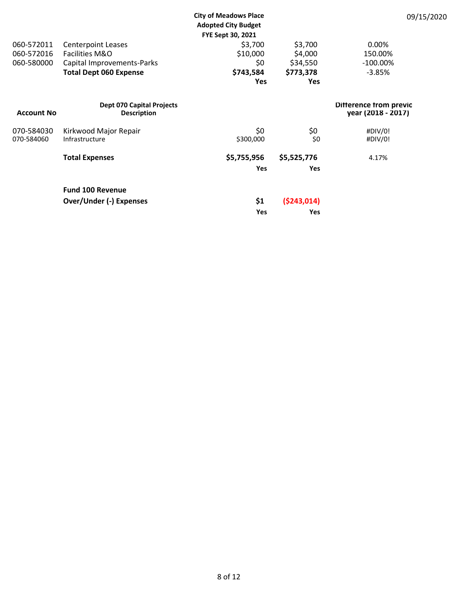|                   |                                                        | <b>City of Meadows Place</b> |               | 09/15/2020                                   |
|-------------------|--------------------------------------------------------|------------------------------|---------------|----------------------------------------------|
|                   |                                                        | <b>Adopted City Budget</b>   |               |                                              |
|                   |                                                        | FYE Sept 30, 2021            |               |                                              |
| 060-572011        | <b>Centerpoint Leases</b>                              | \$3,700                      | \$3,700       | 0.00%                                        |
| 060-572016        | Facilities M&O                                         | \$10,000                     | \$4,000       | 150.00%                                      |
| 060-580000        | Capital Improvements-Parks                             | \$0                          | \$34,550      | $-100.00\%$                                  |
|                   | <b>Total Dept 060 Expense</b>                          | \$743,584                    | \$773,378     | $-3.85%$                                     |
|                   |                                                        | <b>Yes</b>                   | <b>Yes</b>    |                                              |
| <b>Account No</b> | <b>Dept 070 Capital Projects</b><br><b>Description</b> |                              |               | Difference from previc<br>year (2018 - 2017) |
| 070-584030        | Kirkwood Major Repair                                  | \$0                          | \$0           | #DIV/0!                                      |
| 070-584060        | Infrastructure                                         | \$300,000                    | \$0           | #DIV/0!                                      |
|                   | <b>Total Expenses</b>                                  | \$5,755,956                  | \$5,525,776   | 4.17%                                        |
|                   |                                                        | <b>Yes</b>                   | <b>Yes</b>    |                                              |
|                   | <b>Fund 100 Revenue</b>                                |                              |               |                                              |
|                   | <b>Over/Under (-) Expenses</b>                         | \$1                          | ( \$243, 014) |                                              |
|                   |                                                        | <b>Yes</b>                   | Yes           |                                              |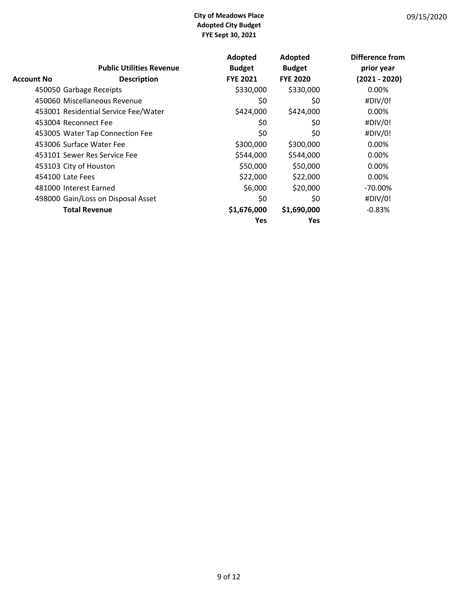|            |                                      | Adopted         | Adopted         | Difference from |
|------------|--------------------------------------|-----------------|-----------------|-----------------|
|            | <b>Public Utilities Revenue</b>      | <b>Budget</b>   | <b>Budget</b>   | prior year      |
| Account No | <b>Description</b>                   | <b>FYE 2021</b> | <b>FYE 2020</b> | $(2021 - 2020)$ |
|            | 450050 Garbage Receipts              | \$330,000       | \$330,000       | 0.00%           |
|            | 450060 Miscellaneous Revenue         | \$0             | \$0             | #DIV/0!         |
|            | 453001 Residential Service Fee/Water | \$424,000       | \$424,000       | 0.00%           |
|            | 453004 Reconnect Fee                 | \$0             | \$0             | #DIV/0!         |
|            | 453005 Water Tap Connection Fee      | \$0             | \$0             | #DIV/0!         |
|            | 453006 Surface Water Fee             | \$300,000       | \$300,000       | 0.00%           |
|            | 453101 Sewer Res Service Fee         | \$544,000       | \$544,000       | 0.00%           |
|            | 453103 City of Houston               | \$50,000        | \$50,000        | 0.00%           |
|            | 454100 Late Fees                     | \$22,000        | \$22,000        | 0.00%           |
|            | 481000 Interest Earned               | \$6,000         | \$20,000        | $-70.00\%$      |
|            | 498000 Gain/Loss on Disposal Asset   | \$0             | \$0             | #DIV/0!         |
|            | <b>Total Revenue</b>                 | \$1,676,000     | \$1,690,000     | $-0.83%$        |
|            |                                      | Yes             | <b>Yes</b>      |                 |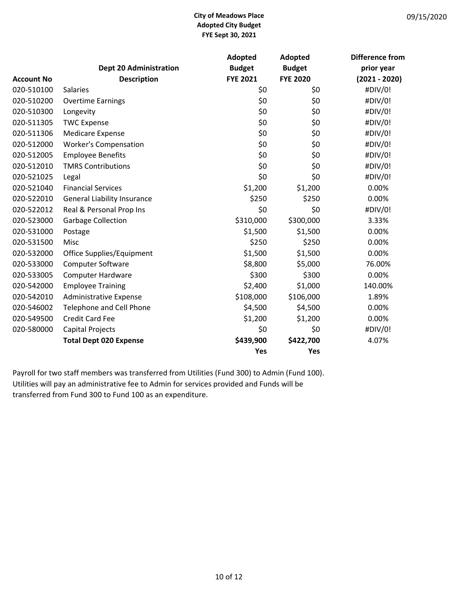|                   |                                    | Adopted         | Adopted         | Difference from |
|-------------------|------------------------------------|-----------------|-----------------|-----------------|
|                   | <b>Dept 20 Administration</b>      | <b>Budget</b>   | <b>Budget</b>   | prior year      |
| <b>Account No</b> | <b>Description</b>                 | <b>FYE 2021</b> | <b>FYE 2020</b> | $(2021 - 2020)$ |
| 020-510100        | <b>Salaries</b>                    | \$0             | \$0             | #DIV/0!         |
| 020-510200        | <b>Overtime Earnings</b>           | \$0             | \$0             | #DIV/0!         |
| 020-510300        | Longevity                          | \$0             | \$0             | #DIV/0!         |
| 020-511305        | <b>TWC Expense</b>                 | \$0             | \$0             | #DIV/0!         |
| 020-511306        | <b>Medicare Expense</b>            | \$0             | \$0             | #DIV/0!         |
| 020-512000        | <b>Worker's Compensation</b>       | \$0             | \$0             | #DIV/0!         |
| 020-512005        | <b>Employee Benefits</b>           | \$0             | \$0             | #DIV/0!         |
| 020-512010        | <b>TMRS Contributions</b>          | \$0             | \$0             | #DIV/0!         |
| 020-521025        | Legal                              | \$0             | \$0             | #DIV/0!         |
| 020-521040        | <b>Financial Services</b>          | \$1,200         | \$1,200         | 0.00%           |
| 020-522010        | <b>General Liability Insurance</b> | \$250           | \$250           | 0.00%           |
| 020-522012        | Real & Personal Prop Ins           | \$0             | \$0             | #DIV/0!         |
| 020-523000        | Garbage Collection                 | \$310,000       | \$300,000       | 3.33%           |
| 020-531000        | Postage                            | \$1,500         | \$1,500         | 0.00%           |
| 020-531500        | Misc                               | \$250           | \$250           | 0.00%           |
| 020-532000        | Office Supplies/Equipment          | \$1,500         | \$1,500         | 0.00%           |
| 020-533000        | <b>Computer Software</b>           | \$8,800         | \$5,000         | 76.00%          |
| 020-533005        | <b>Computer Hardware</b>           | \$300           | \$300           | 0.00%           |
| 020-542000        | <b>Employee Training</b>           | \$2,400         | \$1,000         | 140.00%         |
| 020-542010        | <b>Administrative Expense</b>      | \$108,000       | \$106,000       | 1.89%           |
| 020-546002        | Telephone and Cell Phone           | \$4,500         | \$4,500         | 0.00%           |
| 020-549500        | <b>Credit Card Fee</b>             | \$1,200         | \$1,200         | 0.00%           |
| 020-580000        | Capital Projects                   | \$0             | \$0             | #DIV/0!         |
|                   | <b>Total Dept 020 Expense</b>      | \$439,900       | \$422,700       | 4.07%           |
|                   |                                    | Yes             | Yes             |                 |

Payroll for two staff members was transferred from Utilities (Fund 300) to Admin (Fund 100). Utilities will pay an administrative fee to Admin for services provided and Funds will be transferred from Fund 300 to Fund 100 as an expenditure.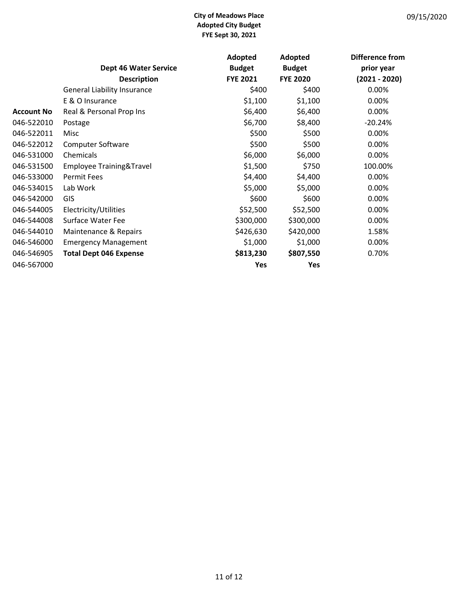|                   |                                    | Adopted         | Adopted         | Difference from |
|-------------------|------------------------------------|-----------------|-----------------|-----------------|
|                   | <b>Dept 46 Water Service</b>       | <b>Budget</b>   | <b>Budget</b>   | prior year      |
|                   | <b>Description</b>                 | <b>FYE 2021</b> | <b>FYE 2020</b> | $(2021 - 2020)$ |
|                   | <b>General Liability Insurance</b> | \$400           | \$400           | 0.00%           |
|                   | E & O Insurance                    | \$1,100         | \$1,100         | 0.00%           |
| <b>Account No</b> | Real & Personal Prop Ins           | \$6,400         | \$6,400         | 0.00%           |
| 046-522010        | Postage                            | \$6,700         | \$8,400         | $-20.24%$       |
| 046-522011        | Misc                               | \$500           | \$500           | 0.00%           |
| 046-522012        | <b>Computer Software</b>           | \$500           | \$500           | 0.00%           |
| 046-531000        | Chemicals                          | \$6,000         | \$6,000         | 0.00%           |
| 046-531500        | Employee Training&Travel           | \$1,500         | \$750           | 100.00%         |
| 046-533000        | <b>Permit Fees</b>                 | \$4,400         | \$4,400         | 0.00%           |
| 046-534015        | Lab Work                           | \$5,000         | \$5,000         | 0.00%           |
| 046-542000        | GIS                                | \$600           | \$600           | 0.00%           |
| 046-544005        | Electricity/Utilities              | \$52,500        | \$52,500        | 0.00%           |
| 046-544008        | Surface Water Fee                  | \$300,000       | \$300,000       | 0.00%           |
| 046-544010        | Maintenance & Repairs              | \$426,630       | \$420,000       | 1.58%           |
| 046-546000        | <b>Emergency Management</b>        | \$1,000         | \$1,000         | 0.00%           |
| 046-546905        | <b>Total Dept 046 Expense</b>      | \$813,230       | \$807,550       | 0.70%           |
| 046-567000        |                                    | Yes             | Yes             |                 |